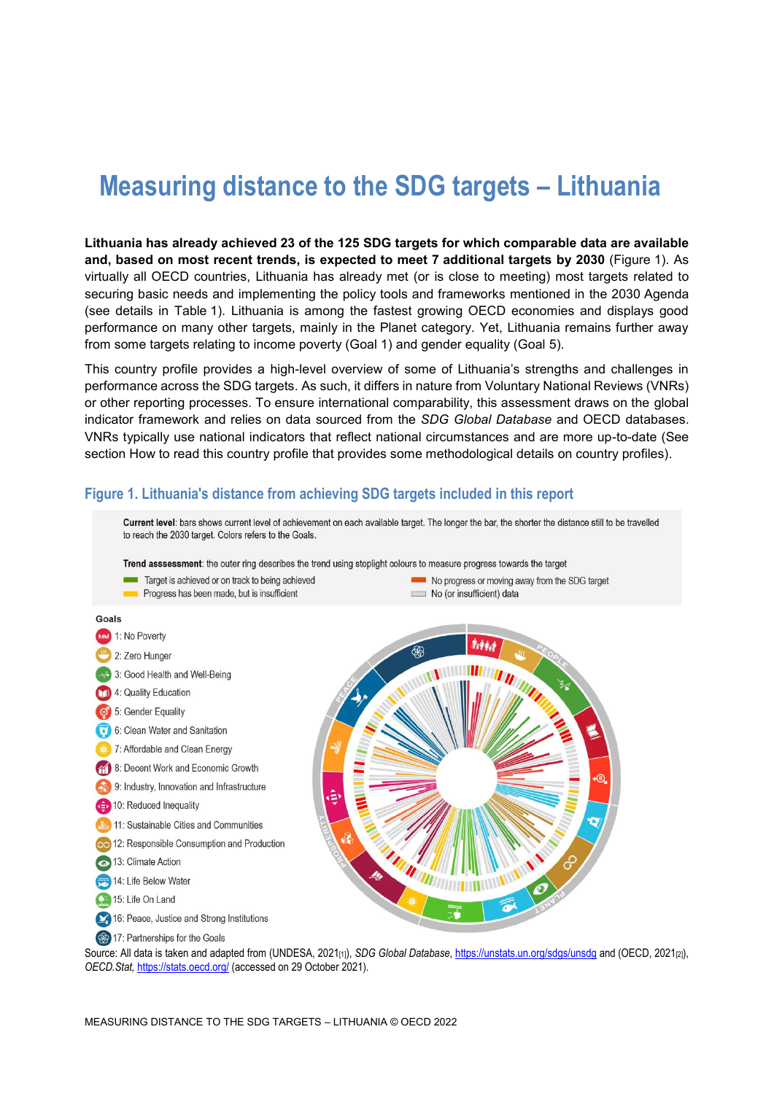# **Measuring distance to the SDG targets – Lithuania**

**Lithuania has already achieved 23 of the 125 SDG targets for which comparable data are available and, based on most recent trends, is expected to meet 7 additional targets by 2030** [\(Figure](#page-0-0) 1). As virtually all OECD countries, Lithuania has already met (or is close to meeting) most targets related to securing basic needs and implementing the policy tools and frameworks mentioned in the 2030 Agenda (see details in [Table](#page-3-0) 1). Lithuania is among the fastest growing OECD economies and displays good performance on many other targets, mainly in the Planet category. Yet, Lithuania remains further away from some targets relating to income poverty (Goal 1) and gender equality (Goal 5).

This country profile provides a high-level overview of some of Lithuania's strengths and challenges in performance across the SDG targets. As such, it differs in nature from Voluntary National Reviews (VNRs) or other reporting processes. To ensure international comparability, this assessment draws on the global indicator framework and relies on data sourced from the *SDG Global Database* and OECD databases. VNRs typically use national indicators that reflect national circumstances and are more up-to-date (See section [How to read this](#page-7-0) country profile that provides some methodological details on country profiles).

#### <span id="page-0-0"></span>**Figure 1. Lithuania's distance from achieving SDG targets included in this report**



Source: All data is taken and adapted from (UNDESA, 2021<sub>[1]</sub>), *SDG Global Database*[, https://unstats.un.org/sdgs/unsdg](https://unstats.un.org/sdgs/unsdg) and (OECD, 2021<sub>[2]</sub>), *OECD.Stat,* <https://stats.oecd.org/> (accessed on 29 October 2021).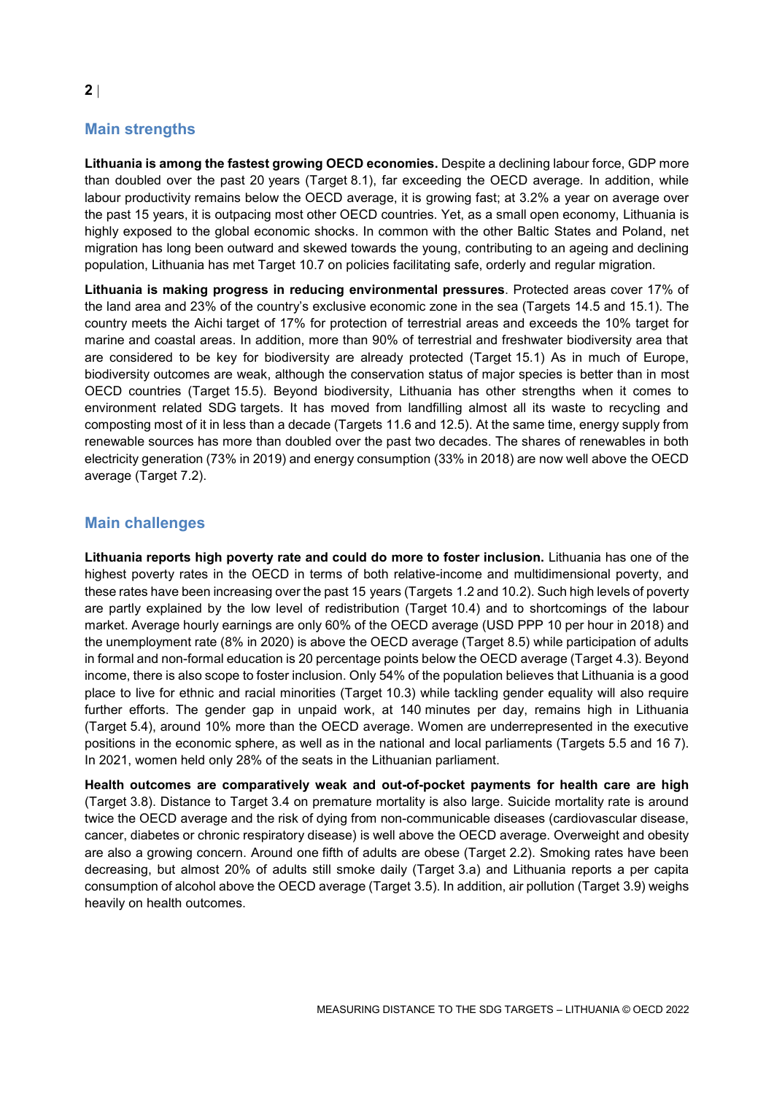# **Main strengths**

**Lithuania is among the fastest growing OECD economies.** Despite a declining labour force, GDP more than doubled over the past 20 years (Target 8.1), far exceeding the OECD average. In addition, while labour productivity remains below the OECD average, it is growing fast; at 3.2% a year on average over the past 15 years, it is outpacing most other OECD countries. Yet, as a small open economy, Lithuania is highly exposed to the global economic shocks. In common with the other Baltic States and Poland, net migration has long been outward and skewed towards the young, contributing to an ageing and declining population, Lithuania has met Target 10.7 on policies facilitating safe, orderly and regular migration.

**Lithuania is making progress in reducing environmental pressures**. Protected areas cover 17% of the land area and 23% of the country's exclusive economic zone in the sea (Targets 14.5 and 15.1). The country meets the Aichi target of 17% for protection of terrestrial areas and exceeds the 10% target for marine and coastal areas. In addition, more than 90% of terrestrial and freshwater biodiversity area that are considered to be key for biodiversity are already protected (Target 15.1) As in much of Europe, biodiversity outcomes are weak, although the conservation status of major species is better than in most OECD countries (Target 15.5). Beyond biodiversity, Lithuania has other strengths when it comes to environment related SDG targets. It has moved from landfilling almost all its waste to recycling and composting most of it in less than a decade (Targets 11.6 and 12.5). At the same time, energy supply from renewable sources has more than doubled over the past two decades. The shares of renewables in both electricity generation (73% in 2019) and energy consumption (33% in 2018) are now well above the OECD average (Target 7.2).

### **Main challenges**

**Lithuania reports high poverty rate and could do more to foster inclusion.** Lithuania has one of the highest poverty rates in the OECD in terms of both relative-income and multidimensional poverty, and these rates have been increasing over the past 15 years (Targets 1.2 and 10.2). Such high levels of poverty are partly explained by the low level of redistribution (Target 10.4) and to shortcomings of the labour market. Average hourly earnings are only 60% of the OECD average (USD PPP 10 per hour in 2018) and the unemployment rate (8% in 2020) is above the OECD average (Target 8.5) while participation of adults in formal and non-formal education is 20 percentage points below the OECD average (Target 4.3). Beyond income, there is also scope to foster inclusion. Only 54% of the population believes that Lithuania is a good place to live for ethnic and racial minorities (Target 10.3) while tackling gender equality will also require further efforts. The gender gap in unpaid work, at 140 minutes per day, remains high in Lithuania (Target 5.4), around 10% more than the OECD average. Women are underrepresented in the executive positions in the economic sphere, as well as in the national and local parliaments (Targets 5.5 and 16 7). In 2021, women held only 28% of the seats in the Lithuanian parliament.

**Health outcomes are comparatively weak and out-of-pocket payments for health care are high** (Target 3.8). Distance to Target 3.4 on premature mortality is also large. Suicide mortality rate is around twice the OECD average and the risk of dying from non-communicable diseases (cardiovascular disease, cancer, diabetes or chronic respiratory disease) is well above the OECD average. Overweight and obesity are also a growing concern. Around one fifth of adults are obese (Target 2.2). Smoking rates have been decreasing, but almost 20% of adults still smoke daily (Target 3.a) and Lithuania reports a per capita consumption of alcohol above the OECD average (Target 3.5). In addition, air pollution (Target 3.9) weighs heavily on health outcomes.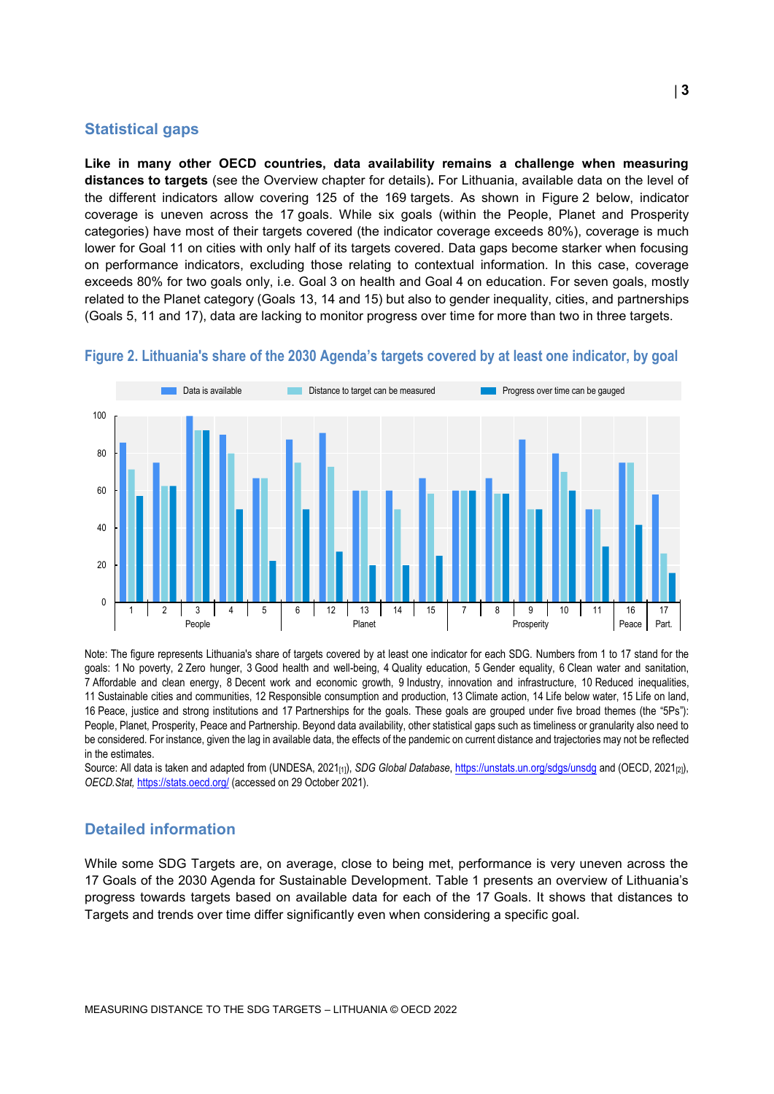#### **Statistical gaps**

**Like in many other OECD countries, data availability remains a challenge when measuring distances to targets** (see the Overview chapter for details)**.** For Lithuania, available data on the level of the different indicators allow covering 125 of the 169 targets. As shown in [Figure](#page-2-0) 2 below, indicator coverage is uneven across the 17 goals. While six goals (within the People, Planet and Prosperity categories) have most of their targets covered (the indicator coverage exceeds 80%), coverage is much lower for Goal 11 on cities with only half of its targets covered. Data gaps become starker when focusing on performance indicators, excluding those relating to contextual information. In this case, coverage exceeds 80% for two goals only, i.e. Goal 3 on health and Goal 4 on education. For seven goals, mostly related to the Planet category (Goals 13, 14 and 15) but also to gender inequality, cities, and partnerships (Goals 5, 11 and 17), data are lacking to monitor progress over time for more than two in three targets.



#### <span id="page-2-0"></span>**Figure 2. Lithuania's share of the 2030 Agenda's targets covered by at least one indicator, by goal**

Note: The figure represents Lithuania's share of targets covered by at least one indicator for each SDG. Numbers from 1 to 17 stand for the goals: 1 No poverty, 2 Zero hunger, 3 Good health and well-being, 4 Quality education, 5 Gender equality, 6 Clean water and sanitation, 7 Affordable and clean energy, 8 Decent work and economic growth, 9 Industry, innovation and infrastructure, 10 Reduced inequalities, 11 Sustainable cities and communities, 12 Responsible consumption and production, 13 Climate action, 14 Life below water, 15 Life on land, 16 Peace, justice and strong institutions and 17 Partnerships for the goals. These goals are grouped under five broad themes (the "5Ps"): People, Planet, Prosperity, Peace and Partnership. Beyond data availability, other statistical gaps such as timeliness or granularity also need to be considered. For instance, given the lag in available data, the effects of the pandemic on current distance and trajectories may not be reflected in the estimates.

Source: All data is taken and adapted from (UNDESA, 2021<sub>[1]</sub>), *SDG Global Database*[, https://unstats.un.org/sdgs/unsdg](https://unstats.un.org/sdgs/unsdg) and (OECD, 2021<sub>[2]</sub>), *OECD.Stat,* <https://stats.oecd.org/> (accessed on 29 October 2021).

#### **Detailed information**

While some SDG Targets are, on average, close to being met, performance is very uneven across the 17 Goals of the 2030 Agenda for Sustainable Development. [Table](#page-3-0) 1 presents an overview of Lithuania's progress towards targets based on available data for each of the 17 Goals. It shows that distances to Targets and trends over time differ significantly even when considering a specific goal.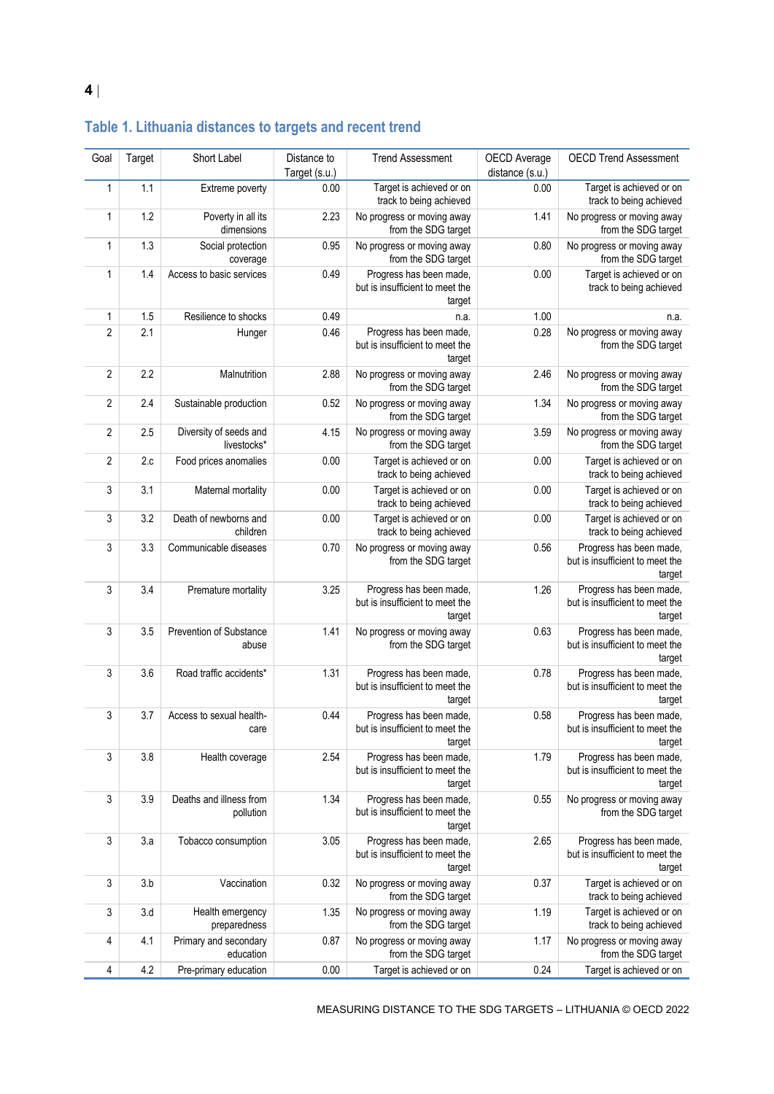| Goal           | Target | Short Label                           | Distance to<br>Target (s.u.) | <b>Trend Assessment</b>                                              | OECD Average<br>distance (s.u.) | <b>OECD Trend Assessment</b>                                         |
|----------------|--------|---------------------------------------|------------------------------|----------------------------------------------------------------------|---------------------------------|----------------------------------------------------------------------|
| 1              | 1.1    | Extreme poverty                       | 0.00                         | Target is achieved or on<br>track to being achieved                  | 0.00                            | Target is achieved or on<br>track to being achieved                  |
| $\mathbf{1}$   | 1.2    | Poverty in all its<br>dimensions      | 2.23                         | No progress or moving away<br>from the SDG target                    | 1.41                            | No progress or moving away<br>from the SDG target                    |
| 1              | 1.3    | Social protection<br>coverage         | 0.95                         | No progress or moving away<br>from the SDG target                    | 0.80                            | No progress or moving away<br>from the SDG target                    |
| $\mathbf{1}$   | 1.4    | Access to basic services              | 0.49                         | Progress has been made,<br>but is insufficient to meet the<br>target | 0.00                            | Target is achieved or on<br>track to being achieved                  |
| 1              | 1.5    | Resilience to shocks                  | 0.49                         | n.a.                                                                 | 1.00                            | n.a.                                                                 |
| $\overline{2}$ | 2.1    | Hunger                                | 0.46                         | Progress has been made,<br>but is insufficient to meet the<br>target | 0.28                            | No progress or moving away<br>from the SDG target                    |
| $\overline{2}$ | 2.2    | Malnutrition                          | 2.88                         | No progress or moving away<br>from the SDG target                    | 2.46                            | No progress or moving away<br>from the SDG target                    |
| $\overline{2}$ | 2.4    | Sustainable production                | 0.52                         | No progress or moving away<br>from the SDG target                    | 1.34                            | No progress or moving away<br>from the SDG target                    |
| $\overline{2}$ | 2.5    | Diversity of seeds and<br>livestocks* | 4.15                         | No progress or moving away<br>from the SDG target                    | 3.59                            | No progress or moving away<br>from the SDG target                    |
| 2              | 2.c    | Food prices anomalies                 | 0.00                         | Target is achieved or on<br>track to being achieved                  | 0.00                            | Target is achieved or on<br>track to being achieved                  |
| 3              | 3.1    | Maternal mortality                    | 0.00                         | Target is achieved or on<br>track to being achieved                  | 0.00                            | Target is achieved or on<br>track to being achieved                  |
| 3              | 3.2    | Death of newborns and<br>children     | 0.00                         | Target is achieved or on<br>track to being achieved                  | 0.00                            | Target is achieved or on<br>track to being achieved                  |
| 3              | 3.3    | Communicable diseases                 | 0.70                         | No progress or moving away<br>from the SDG target                    | 0.56                            | Progress has been made,<br>but is insufficient to meet the<br>target |
| 3              | 3.4    | Premature mortality                   | 3.25                         | Progress has been made,<br>but is insufficient to meet the<br>target | 1.26                            | Progress has been made,<br>but is insufficient to meet the<br>target |
| 3              | 3.5    | Prevention of Substance<br>abuse      | 1.41                         | No progress or moving away<br>from the SDG target                    | 0.63                            | Progress has been made,<br>but is insufficient to meet the<br>target |
| 3              | 3.6    | Road traffic accidents*               | 1.31                         | Progress has been made,<br>but is insufficient to meet the<br>target | 0.78                            | Progress has been made,<br>but is insufficient to meet the<br>target |
| 3              | 3.7    | Access to sexual health-<br>care      | 0.44                         | Progress has been made,<br>but is insufficient to meet the<br>target | 0.58                            | Progress has been made,<br>but is insufficient to meet the<br>target |
| 3              | 3.8    | Health coverage                       | 2.54                         | Progress has been made,<br>but is insufficient to meet the<br>target | 1.79                            | Progress has been made,<br>but is insufficient to meet the<br>target |
| 3              | 3.9    | Deaths and illness from<br>pollution  | 1.34                         | Progress has been made,<br>but is insufficient to meet the<br>target | 0.55                            | No progress or moving away<br>from the SDG target                    |
| 3              | 3.a    | Tobacco consumption                   | 3.05                         | Progress has been made,<br>but is insufficient to meet the<br>target | 2.65                            | Progress has been made,<br>but is insufficient to meet the<br>target |
| 3              | 3.b    | Vaccination                           | 0.32                         | No progress or moving away<br>from the SDG target                    | 0.37                            | Target is achieved or on<br>track to being achieved                  |
| 3              | 3.d    | Health emergency<br>preparedness      | 1.35                         | No progress or moving away<br>from the SDG target                    | 1.19                            | Target is achieved or on<br>track to being achieved                  |
| 4              | 4.1    | Primary and secondary<br>education    | 0.87                         | No progress or moving away<br>from the SDG target                    | 1.17                            | No progress or moving away<br>from the SDG target                    |
| $\overline{4}$ | 4.2    | Pre-primary education                 | 0.00                         | Target is achieved or on                                             | 0.24                            | Target is achieved or on                                             |

# <span id="page-3-0"></span>**Table 1. Lithuania distances to targets and recent trend**

MEASURING DISTANCE TO THE SDG TARGETS – LITHUANIA © OECD 2022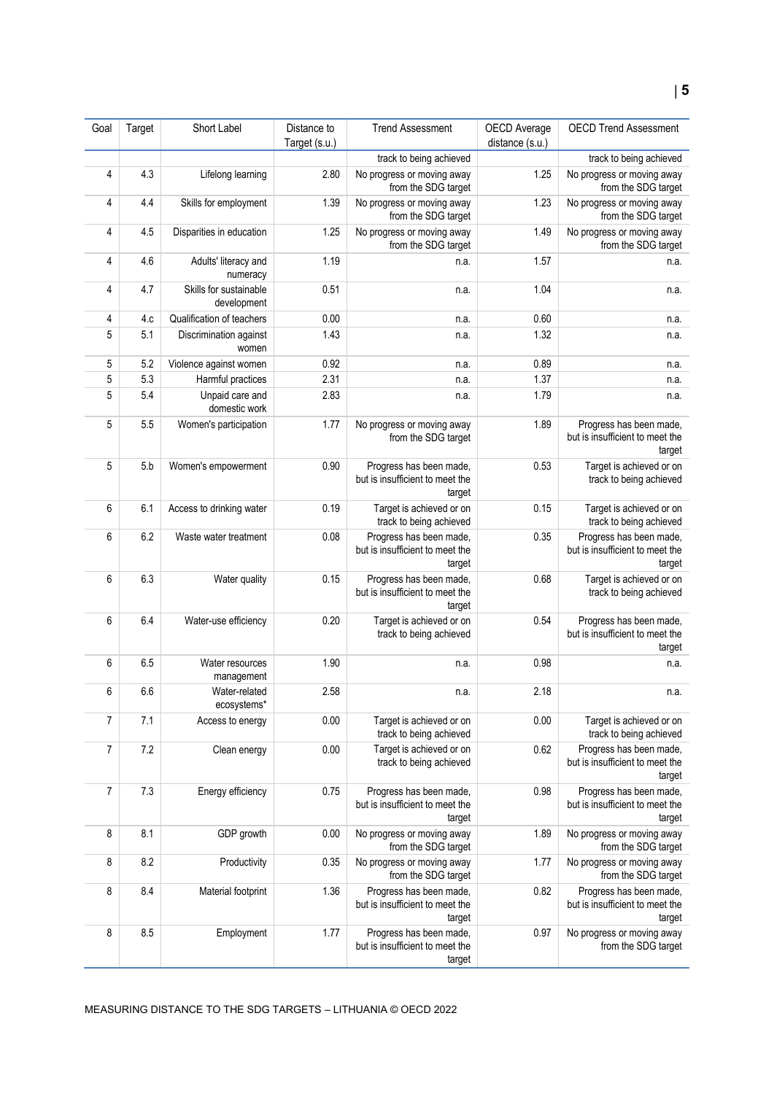| Goal           | Target | Short Label                           | Distance to<br>Target (s.u.) | <b>Trend Assessment</b>                                              | OECD Average<br>distance (s.u.) | <b>OECD Trend Assessment</b>                                         |
|----------------|--------|---------------------------------------|------------------------------|----------------------------------------------------------------------|---------------------------------|----------------------------------------------------------------------|
|                |        |                                       |                              | track to being achieved                                              |                                 | track to being achieved                                              |
| 4              | 4.3    | Lifelong learning                     | 2.80                         | No progress or moving away<br>from the SDG target                    | 1.25                            | No progress or moving away<br>from the SDG target                    |
| 4              | 4.4    | Skills for employment                 | 1.39                         | No progress or moving away<br>from the SDG target                    | 1.23                            | No progress or moving away<br>from the SDG target                    |
| 4              | 4.5    | Disparities in education              | 1.25                         | No progress or moving away<br>from the SDG target                    | 1.49                            | No progress or moving away<br>from the SDG target                    |
| 4              | 4.6    | Adults' literacy and<br>numeracy      | 1.19                         | n.a.                                                                 | 1.57                            | n.a.                                                                 |
| 4              | 4.7    | Skills for sustainable<br>development | 0.51                         | n.a.                                                                 | 1.04                            | n.a.                                                                 |
| 4              | 4.c    | Qualification of teachers             | 0.00                         | n.a.                                                                 | 0.60                            | n.a.                                                                 |
| 5              | 5.1    | Discrimination against<br>women       | 1.43                         | n.a.                                                                 | 1.32                            | n.a.                                                                 |
| 5              | 5.2    | Violence against women                | 0.92                         | n.a.                                                                 | 0.89                            | n.a.                                                                 |
| 5              | 5.3    | Harmful practices                     | 2.31                         | n.a.                                                                 | 1.37                            | n.a.                                                                 |
| 5              | 5.4    | Unpaid care and<br>domestic work      | 2.83                         | n.a.                                                                 | 1.79                            | n.a.                                                                 |
| 5              | 5.5    | Women's participation                 | 1.77                         | No progress or moving away<br>from the SDG target                    | 1.89                            | Progress has been made,<br>but is insufficient to meet the<br>target |
| 5              | 5.b    | Women's empowerment                   | 0.90                         | Progress has been made,<br>but is insufficient to meet the<br>target | 0.53                            | Target is achieved or on<br>track to being achieved                  |
| 6              | 6.1    | Access to drinking water              | 0.19                         | Target is achieved or on<br>track to being achieved                  | 0.15                            | Target is achieved or on<br>track to being achieved                  |
| 6              | 6.2    | Waste water treatment                 | 0.08                         | Progress has been made,<br>but is insufficient to meet the<br>target | 0.35                            | Progress has been made,<br>but is insufficient to meet the<br>target |
| 6              | 6.3    | Water quality                         | 0.15                         | Progress has been made,<br>but is insufficient to meet the<br>target | 0.68                            | Target is achieved or on<br>track to being achieved                  |
| 6              | 6.4    | Water-use efficiency                  | 0.20                         | Target is achieved or on<br>track to being achieved                  | 0.54                            | Progress has been made,<br>but is insufficient to meet the<br>target |
| 6              | 6.5    | Water resources<br>management         | 1.90                         | n.a.                                                                 | 0.98                            | n.a.                                                                 |
| 6              | 6.6    | Water-related<br>ecosystems*          | 2.58                         | n.a.                                                                 | 2.18                            | n.a.                                                                 |
| 7              | 7.1    | Access to energy                      | 0.00                         | Target is achieved or on<br>track to being achieved                  | 0.00                            | Target is achieved or on<br>track to being achieved                  |
| $\overline{7}$ | 7.2    | Clean energy                          | 0.00                         | Target is achieved or on<br>track to being achieved                  | 0.62                            | Progress has been made,<br>but is insufficient to meet the<br>target |
| 7              | 7.3    | Energy efficiency                     | 0.75                         | Progress has been made,<br>but is insufficient to meet the<br>target | 0.98                            | Progress has been made,<br>but is insufficient to meet the<br>target |
| 8              | 8.1    | GDP growth                            | 0.00                         | No progress or moving away<br>from the SDG target                    | 1.89                            | No progress or moving away<br>from the SDG target                    |
| 8              | 8.2    | Productivity                          | 0.35                         | No progress or moving away<br>from the SDG target                    | 1.77                            | No progress or moving away<br>from the SDG target                    |
| 8              | 8.4    | Material footprint                    | 1.36                         | Progress has been made,<br>but is insufficient to meet the<br>target | 0.82                            | Progress has been made,<br>but is insufficient to meet the<br>target |
| 8              | 8.5    | Employment                            | 1.77                         | Progress has been made,<br>but is insufficient to meet the<br>target | 0.97                            | No progress or moving away<br>from the SDG target                    |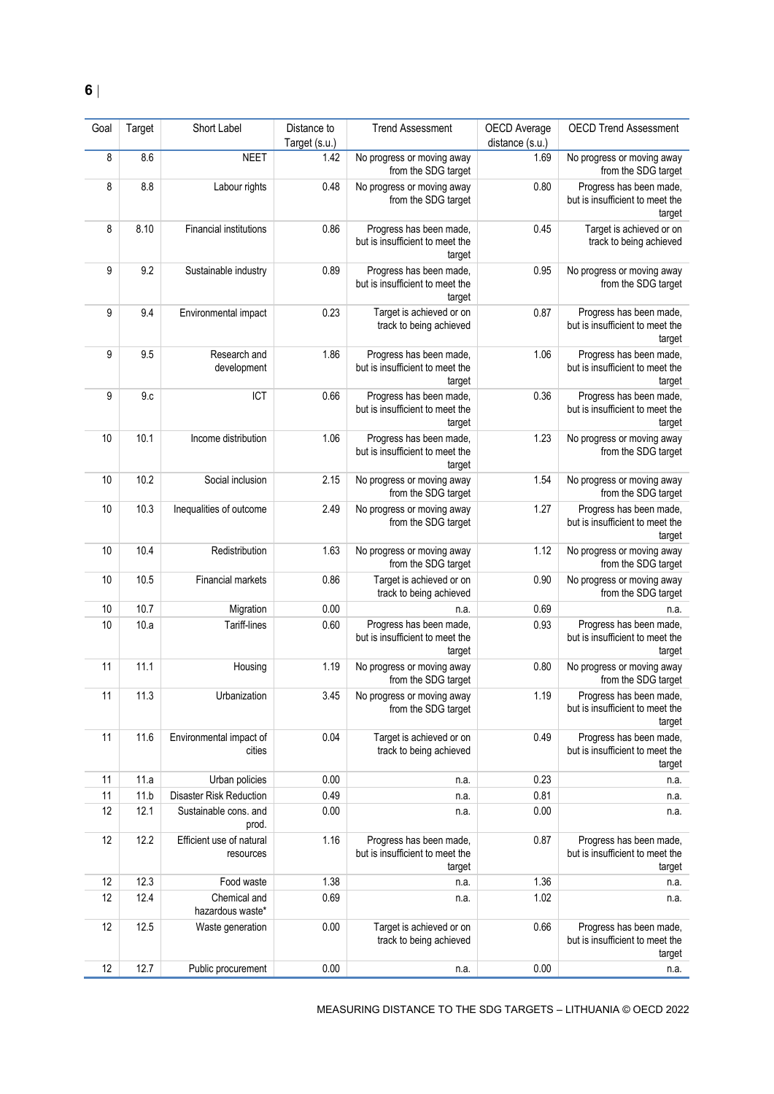| Goal | Target | Short Label                           | Distance to<br>Target (s.u.) | <b>Trend Assessment</b>                                              | OECD Average<br>distance (s.u.) | <b>OECD Trend Assessment</b>                                         |
|------|--------|---------------------------------------|------------------------------|----------------------------------------------------------------------|---------------------------------|----------------------------------------------------------------------|
| 8    | 8.6    | <b>NEET</b>                           | 1.42                         | No progress or moving away<br>from the SDG target                    | 1.69                            | No progress or moving away<br>from the SDG target                    |
| 8    | 8.8    | Labour rights                         | 0.48                         | No progress or moving away<br>from the SDG target                    | 0.80                            | Progress has been made,<br>but is insufficient to meet the<br>target |
| 8    | 8.10   | <b>Financial institutions</b>         | 0.86                         | Progress has been made,<br>but is insufficient to meet the<br>target | 0.45                            | Target is achieved or on<br>track to being achieved                  |
| 9    | 9.2    | Sustainable industry                  | 0.89                         | Progress has been made,<br>but is insufficient to meet the<br>target | 0.95                            | No progress or moving away<br>from the SDG target                    |
| 9    | 9.4    | Environmental impact                  | 0.23                         | Target is achieved or on<br>track to being achieved                  | 0.87                            | Progress has been made,<br>but is insufficient to meet the<br>target |
| 9    | 9.5    | Research and<br>development           | 1.86                         | Progress has been made,<br>but is insufficient to meet the<br>target | 1.06                            | Progress has been made,<br>but is insufficient to meet the<br>target |
| 9    | 9.c    | ICT                                   | 0.66                         | Progress has been made,<br>but is insufficient to meet the<br>target | 0.36                            | Progress has been made,<br>but is insufficient to meet the<br>target |
| 10   | 10.1   | Income distribution                   | 1.06                         | Progress has been made,<br>but is insufficient to meet the<br>target | 1.23                            | No progress or moving away<br>from the SDG target                    |
| 10   | 10.2   | Social inclusion                      | 2.15                         | No progress or moving away<br>from the SDG target                    | 1.54                            | No progress or moving away<br>from the SDG target                    |
| 10   | 10.3   | Inequalities of outcome               | 2.49                         | No progress or moving away<br>from the SDG target                    | 1.27                            | Progress has been made,<br>but is insufficient to meet the<br>target |
| 10   | 10.4   | Redistribution                        | 1.63                         | No progress or moving away<br>from the SDG target                    | 1.12                            | No progress or moving away<br>from the SDG target                    |
| 10   | 10.5   | Financial markets                     | 0.86                         | Target is achieved or on<br>track to being achieved                  | 0.90                            | No progress or moving away<br>from the SDG target                    |
| 10   | 10.7   | Migration                             | 0.00                         | n.a.                                                                 | 0.69                            | n.a.                                                                 |
| 10   | 10.a   | Tariff-lines                          | 0.60                         | Progress has been made,<br>but is insufficient to meet the<br>target | 0.93                            | Progress has been made,<br>but is insufficient to meet the<br>target |
| 11   | 11.1   | Housing                               | 1.19                         | No progress or moving away<br>from the SDG target                    | 0.80                            | No progress or moving away<br>from the SDG target                    |
| 11   | 11.3   | Urbanization                          | 3.45                         | No progress or moving away<br>from the SDG target                    | 1.19                            | Progress has been made,<br>but is insufficient to meet the<br>target |
| 11   | 11.6   | Environmental impact of<br>cities     | 0.04                         | Target is achieved or on<br>track to being achieved                  | 0.49                            | Progress has been made,<br>but is insufficient to meet the<br>target |
| 11   | 11.a   | Urban policies                        | 0.00                         | n.a.                                                                 | 0.23                            | n.a.                                                                 |
| 11   | 11.b   | <b>Disaster Risk Reduction</b>        | 0.49                         | n.a.                                                                 | 0.81                            | n.a.                                                                 |
| 12   | 12.1   | Sustainable cons. and<br>prod.        | 0.00                         | n.a.                                                                 | 0.00                            | n.a.                                                                 |
| 12   | 12.2   | Efficient use of natural<br>resources | 1.16                         | Progress has been made,<br>but is insufficient to meet the<br>target | 0.87                            | Progress has been made,<br>but is insufficient to meet the<br>target |
| 12   | 12.3   | Food waste                            | 1.38                         | n.a.                                                                 | 1.36                            | n.a.                                                                 |
| 12   | 12.4   | Chemical and<br>hazardous waste*      | 0.69                         | n.a.                                                                 | 1.02                            | n.a.                                                                 |
| 12   | 12.5   | Waste generation                      | 0.00                         | Target is achieved or on<br>track to being achieved                  | 0.66                            | Progress has been made,<br>but is insufficient to meet the<br>target |
| 12   | 12.7   | Public procurement                    | 0.00                         | n.a.                                                                 | 0.00                            | n.a.                                                                 |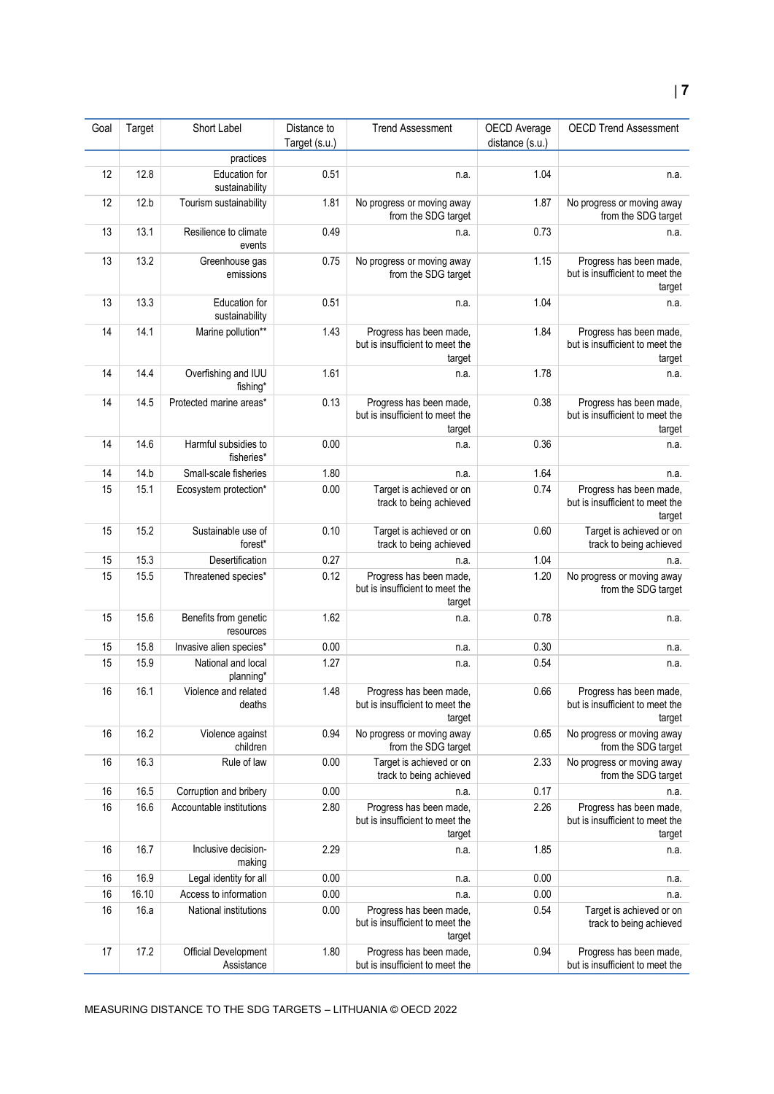| Goal | Target | Short Label                        | Distance to<br>Target (s.u.) | <b>Trend Assessment</b>                                              | OECD Average<br>distance (s.u.) | <b>OECD Trend Assessment</b>                                         |
|------|--------|------------------------------------|------------------------------|----------------------------------------------------------------------|---------------------------------|----------------------------------------------------------------------|
|      |        | practices                          |                              |                                                                      |                                 |                                                                      |
| 12   | 12.8   | Education for<br>sustainability    | 0.51                         | n.a.                                                                 | 1.04                            | n.a.                                                                 |
| 12   | 12.b   | Tourism sustainability             | 1.81                         | No progress or moving away<br>from the SDG target                    | 1.87                            | No progress or moving away<br>from the SDG target                    |
| 13   | 13.1   | Resilience to climate<br>events    | 0.49                         | n.a.                                                                 | 0.73                            | n.a.                                                                 |
| 13   | 13.2   | Greenhouse gas<br>emissions        | 0.75                         | No progress or moving away<br>from the SDG target                    | 1.15                            | Progress has been made,<br>but is insufficient to meet the<br>target |
| 13   | 13.3   | Education for<br>sustainability    | 0.51                         | n.a.                                                                 | 1.04                            | n.a.                                                                 |
| 14   | 14.1   | Marine pollution**                 | 1.43                         | Progress has been made,<br>but is insufficient to meet the<br>target | 1.84                            | Progress has been made,<br>but is insufficient to meet the<br>target |
| 14   | 14.4   | Overfishing and IUU<br>fishing*    | 1.61                         | n.a.                                                                 | 1.78                            | n.a.                                                                 |
| 14   | 14.5   | Protected marine areas*            | 0.13                         | Progress has been made,<br>but is insufficient to meet the<br>target | 0.38                            | Progress has been made,<br>but is insufficient to meet the<br>target |
| 14   | 14.6   | Harmful subsidies to<br>fisheries* | 0.00                         | n.a.                                                                 | 0.36                            | n.a.                                                                 |
| 14   | 14.b   | Small-scale fisheries              | 1.80                         | n.a.                                                                 | 1.64                            | n.a.                                                                 |
| 15   | 15.1   | Ecosystem protection*              | 0.00                         | Target is achieved or on<br>track to being achieved                  | 0.74                            | Progress has been made,<br>but is insufficient to meet the<br>target |
| 15   | 15.2   | Sustainable use of<br>forest*      | 0.10                         | Target is achieved or on<br>track to being achieved                  | 0.60                            | Target is achieved or on<br>track to being achieved                  |
| 15   | 15.3   | Desertification                    | 0.27                         | n.a.                                                                 | 1.04                            | n.a.                                                                 |
| 15   | 15.5   | Threatened species*                | 0.12                         | Progress has been made,<br>but is insufficient to meet the<br>target | 1.20                            | No progress or moving away<br>from the SDG target                    |
| 15   | 15.6   | Benefits from genetic<br>resources | 1.62                         | n.a.                                                                 | 0.78                            | n.a.                                                                 |
| 15   | 15.8   | Invasive alien species*            | 0.00                         | n.a.                                                                 | 0.30                            | n.a.                                                                 |
| 15   | 15.9   | National and local<br>planning*    | 1.27                         | n.a.                                                                 | 0.54                            | n.a.                                                                 |
| 16   | 16.1   | Violence and related<br>deaths     | 1.48                         | Progress has been made<br>but is insufficient to meet the<br>target  | 0.66                            | Progress has been made<br>but is insufficient to meet the<br>target  |
| 16   | 16.2   | Violence against<br>children       | 0.94                         | No progress or moving away<br>from the SDG target                    | 0.65                            | No progress or moving away<br>from the SDG target                    |
| 16   | 16.3   | Rule of law                        | 0.00                         | Target is achieved or on<br>track to being achieved                  | 2.33                            | No progress or moving away<br>from the SDG target                    |
| 16   | 16.5   | Corruption and bribery             | 0.00                         | n.a.                                                                 | 0.17                            | n.a.                                                                 |
| 16   | 16.6   | Accountable institutions           | 2.80                         | Progress has been made,<br>but is insufficient to meet the<br>target | 2.26                            | Progress has been made,<br>but is insufficient to meet the<br>target |
| 16   | 16.7   | Inclusive decision-<br>making      | 2.29                         | n.a.                                                                 | 1.85                            | n.a.                                                                 |
| 16   | 16.9   | Legal identity for all             | 0.00                         | n.a.                                                                 | 0.00                            | n.a.                                                                 |
| 16   | 16.10  | Access to information              | 0.00                         | n.a.                                                                 | 0.00                            | n.a.                                                                 |
| 16   | 16.a   | National institutions              | 0.00                         | Progress has been made,<br>but is insufficient to meet the<br>target | 0.54                            | Target is achieved or on<br>track to being achieved                  |
| 17   | 17.2   | Official Development<br>Assistance | 1.80                         | Progress has been made,<br>but is insufficient to meet the           | 0.94                            | Progress has been made,<br>but is insufficient to meet the           |

MEASURING DISTANCE TO THE SDG TARGETS – LITHUANIA © OECD 2022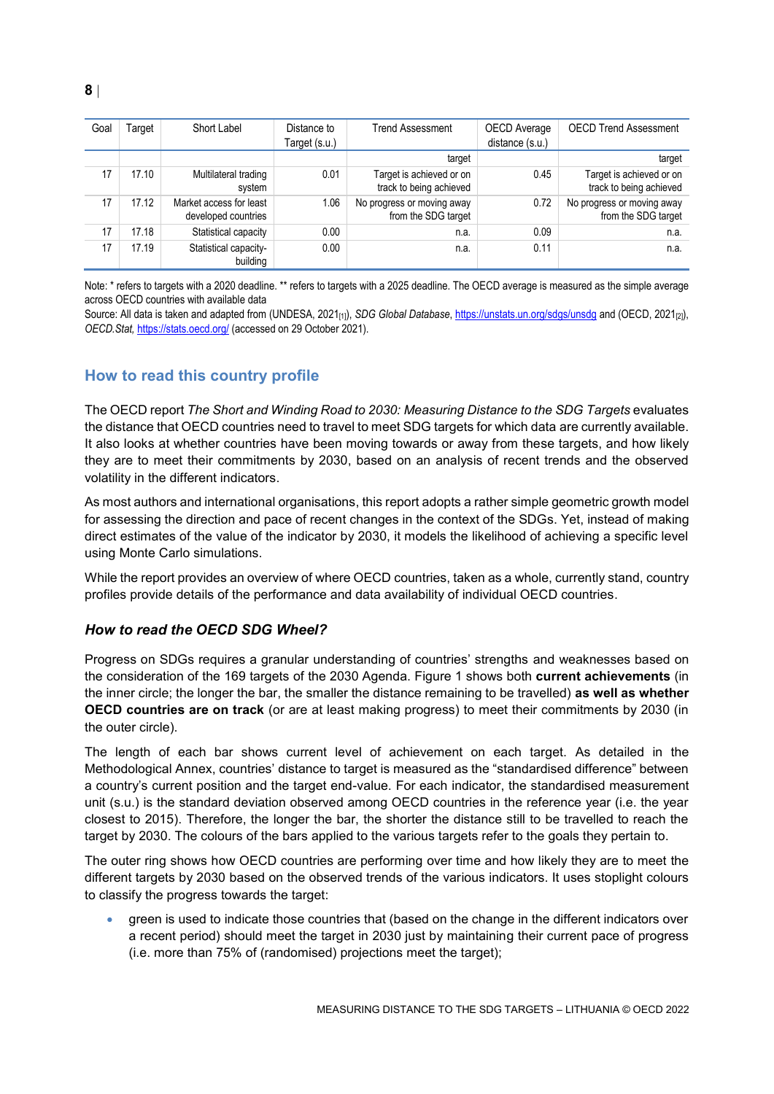| Goal | Γarqet | Short Label                                    | Distance to<br>Target (s.u.) | <b>Trend Assessment</b>                             | OECD Average<br>distance (s.u.) | <b>OECD Trend Assessment</b>                        |
|------|--------|------------------------------------------------|------------------------------|-----------------------------------------------------|---------------------------------|-----------------------------------------------------|
|      |        |                                                |                              | target                                              |                                 | target                                              |
| 17   | 17.10  | Multilateral trading<br>system                 | 0.01                         | Target is achieved or on<br>track to being achieved | 0.45                            | Target is achieved or on<br>track to being achieved |
| 17   | 17.12  | Market access for least<br>developed countries | 1.06                         | No progress or moving away<br>from the SDG target   | 0.72                            | No progress or moving away<br>from the SDG target   |
| 17   | 17.18  | Statistical capacity                           | 0.00                         | n.a.                                                | 0.09                            | n.a.                                                |
| 17   | 17.19  | Statistical capacity-<br>building              | 0.00                         | n.a.                                                | 0.11                            | n.a.                                                |

Note: \* refers to targets with a 2020 deadline. \*\* refers to targets with a 2025 deadline. The OECD average is measured as the simple average across OECD countries with available data

Source: All data is taken and adapted from (UNDESA, 2021<sub>[1]</sub>), *SDG Global Database*[, https://unstats.un.org/sdgs/unsdg](https://unstats.un.org/sdgs/unsdg) and (OECD, 2021<sub>[2]</sub>), *OECD.Stat,* <https://stats.oecd.org/> (accessed on 29 October 2021).

## <span id="page-7-0"></span>**How to read this country profile**

The OECD report *The Short and Winding Road to 2030: Measuring Distance to the SDG Targets* evaluates the distance that OECD countries need to travel to meet SDG targets for which data are currently available. It also looks at whether countries have been moving towards or away from these targets, and how likely they are to meet their commitments by 2030, based on an analysis of recent trends and the observed volatility in the different indicators.

As most authors and international organisations, this report adopts a rather simple geometric growth model for assessing the direction and pace of recent changes in the context of the SDGs. Yet, instead of making direct estimates of the value of the indicator by 2030, it models the likelihood of achieving a specific level using Monte Carlo simulations.

While the report provides an overview of where OECD countries, taken as a whole, currently stand, country profiles provide details of the performance and data availability of individual OECD countries.

#### *How to read the OECD SDG Wheel?*

Progress on SDGs requires a granular understanding of countries' strengths and weaknesses based on the consideration of the 169 targets of the 2030 Agenda. [Figure](#page-0-0) 1 shows both **current achievements** (in the inner circle; the longer the bar, the smaller the distance remaining to be travelled) **as well as whether OECD countries are on track** (or are at least making progress) to meet their commitments by 2030 (in the outer circle).

The length of each bar shows current level of achievement on each target. As detailed in the Methodological Annex, countries' distance to target is measured as the "standardised difference" between a country's current position and the target end-value. For each indicator, the standardised measurement unit (s.u.) is the standard deviation observed among OECD countries in the reference year (i.e. the year closest to 2015). Therefore, the longer the bar, the shorter the distance still to be travelled to reach the target by 2030. The colours of the bars applied to the various targets refer to the goals they pertain to.

The outer ring shows how OECD countries are performing over time and how likely they are to meet the different targets by 2030 based on the observed trends of the various indicators. It uses stoplight colours to classify the progress towards the target:

 green is used to indicate those countries that (based on the change in the different indicators over a recent period) should meet the target in 2030 just by maintaining their current pace of progress (i.e. more than 75% of (randomised) projections meet the target);